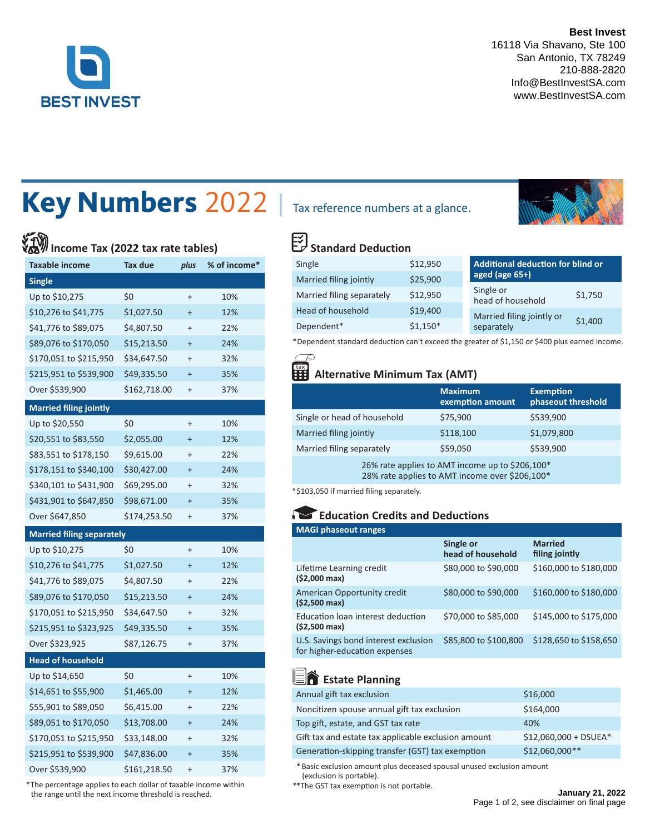

**Best Invest** 16118 Via Shavano, Ste 100 San Antonio, TX 78249 210-888-2820 Info@BestInvestSA.com www.BestInvestSA.com

# Key Numbers 2022 | Tax reference numbers at a glance.

# **Income Tax (2022 tax rate tables)**

| <b>Taxable income</b>            | Tax due<br>plus |           | % of income* |
|----------------------------------|-----------------|-----------|--------------|
| <b>Single</b>                    |                 |           |              |
| Up to \$10,275                   | \$0             | $\ddot{}$ | 10%          |
| \$10,276 to \$41,775             | \$1,027.50      | $\ddot{}$ | 12%          |
| \$41,776 to \$89,075             | \$4,807.50      | $\ddot{}$ | 22%          |
| \$89,076 to \$170,050            | \$15,213.50     | $\ddot{}$ | 24%          |
| \$170,051 to \$215,950           | \$34,647.50     | $^{+}$    | 32%          |
| \$215,951 to \$539,900           | \$49,335.50     | $\ddot{}$ | 35%          |
| Over \$539,900                   | \$162,718.00    | $^{+}$    | 37%          |
| <b>Married filing jointly</b>    |                 |           |              |
| Up to \$20,550                   | \$0             | $^{+}$    | 10%          |
| \$20,551 to \$83,550             | \$2,055.00      | $\ddot{}$ | 12%          |
| \$83,551 to \$178,150            | \$9,615.00      | $^{+}$    | 22%          |
| \$178,151 to \$340,100           | \$30,427.00     | $\ddot{}$ | 24%          |
| \$340,101 to \$431,900           | \$69,295.00     | $\ddot{}$ | 32%          |
| \$431,901 to \$647,850           | \$98,671.00     | $\ddot{}$ | 35%          |
| Over \$647,850                   | \$174,253.50    | $\ddot{}$ | 37%          |
| <b>Married filing separately</b> |                 |           |              |
| Up to \$10,275                   | \$0             | $\ddot{}$ | 10%          |
| \$10,276 to \$41,775             | \$1,027.50      | $\ddot{}$ | 12%          |
| \$41,776 to \$89,075             | \$4,807.50      | $\ddot{}$ | 22%          |
| \$89,076 to \$170,050            | \$15,213.50     | $\ddot{}$ | 24%          |
| \$170,051 to \$215,950           | \$34,647.50     | $\ddot{}$ | 32%          |
| \$215,951 to \$323,925           | \$49,335.50     | $\ddot{}$ | 35%          |
| Over \$323,925                   | \$87,126.75     | $^{+}$    | 37%          |
| <b>Head of household</b>         |                 |           |              |
| Up to \$14,650                   | \$0             | $\ddot{}$ | 10%          |
| \$14,651 to \$55,900             | \$1,465.00      | $\ddot{}$ | 12%          |
| \$55,901 to \$89,050             | \$6,415.00      | $^{+}$    | 22%          |
| \$89,051 to \$170,050            | \$13,708.00     | $\ddot{}$ | 24%          |
| \$170,051 to \$215,950           | \$33,148.00     | $\ddot{}$ | 32%          |
| \$215,951 to \$539,900           | \$47,836.00     | $\ddot{}$ | 35%          |
| Over \$539,900                   | \$161,218.50    | $^{+}$    | 37%          |

 \* The percentage applies to each dollar of taxable income within the range until the next income threshold is reached.



# **Standard Deduction**

| Single                    | \$12,950  | Additional deduction for blind or         |  |
|---------------------------|-----------|-------------------------------------------|--|
| Married filing jointly    | \$25,900  | aged (age 65+)                            |  |
| Married filing separately | \$12,950  | Single or<br>\$1,750<br>head of household |  |
| Head of household         | \$19,400  | Married filing jointly or                 |  |
| Dependent*                | $$1,150*$ | \$1,400<br>separately                     |  |

\* Dependent standard deduction can't exceed the greater of \$1,150 or \$400 plus earned income.

### **Alternative Minimum Tax (AMT)**

|                                                                                                   | <b>Maximum</b><br>exemption amount | <b>Exemption</b><br>phaseout threshold |
|---------------------------------------------------------------------------------------------------|------------------------------------|----------------------------------------|
| Single or head of household                                                                       | \$75,900                           | \$539,900                              |
| Married filing jointly                                                                            | \$118,100                          | \$1,079,800                            |
| \$59,050<br>Married filing separately                                                             |                                    | \$539,900                              |
| 26% rate applies to AMT income up to \$206,100*<br>28% rate applies to AMT income over \$206,100* |                                    |                                        |

\*\$103,050 if married filing separately.

### **Education Credits and Deductions**

| <b>MAGI phaseout ranges</b>                                           |                                |                                  |  |
|-----------------------------------------------------------------------|--------------------------------|----------------------------------|--|
|                                                                       | Single or<br>head of household | <b>Married</b><br>filing jointly |  |
| Lifetime Learning credit<br>$(52,000 \text{ max})$                    | \$80,000 to \$90,000           | \$160,000 to \$180,000           |  |
| American Opportunity credit<br>$(52,500 \text{ max})$                 | \$80,000 to \$90,000           | \$160,000 to \$180,000           |  |
| Education loan interest deduction<br>(\$2,500 max)                    | \$70,000 to \$85,000           | \$145,000 to \$175,000           |  |
| U.S. Savings bond interest exclusion<br>for higher-education expenses | \$85,800 to \$100,800          | \$128,650 to \$158,650           |  |

## **End** Estate Planning

| Annual gift tax exclusion                           | \$16,000               |
|-----------------------------------------------------|------------------------|
| Noncitizen spouse annual gift tax exclusion         | \$164,000              |
| Top gift, estate, and GST tax rate                  | 40%                    |
| Gift tax and estate tax applicable exclusion amount | $$12,060,000 + DSUEA*$ |
| Generation-skipping transfer (GST) tax exemption    | \$12,060,000**         |

\* Basic exclusion amount plus deceased spousal unused exclusion amount (exclusion is portable).

\*\*The GST tax exemption is not portable.